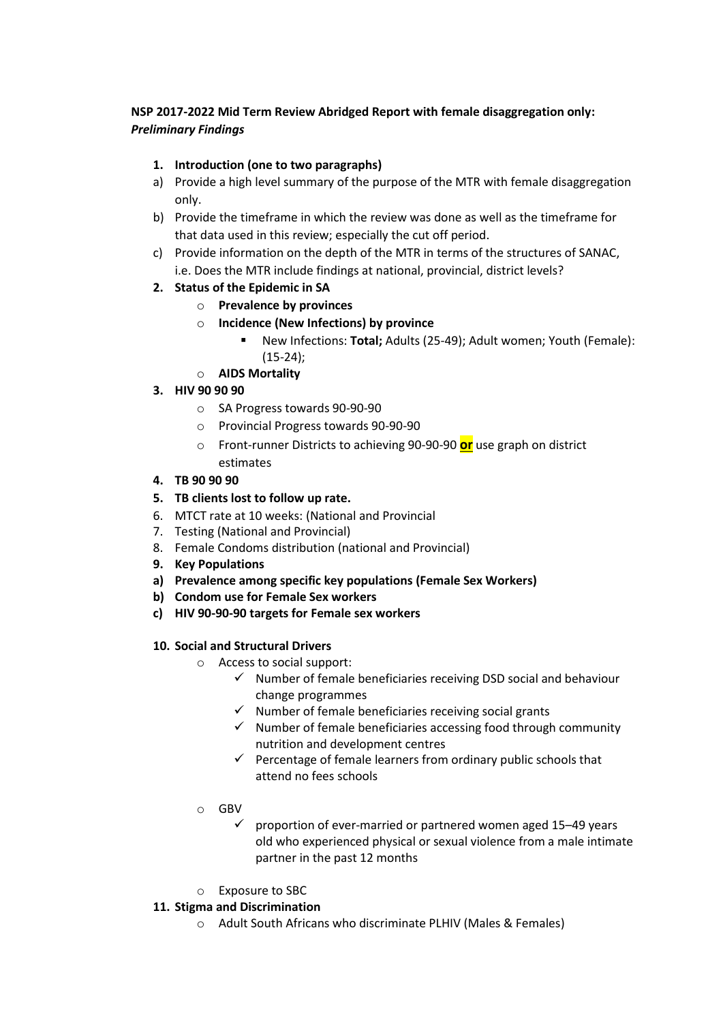## **NSP 2017-2022 Mid Term Review Abridged Report with female disaggregation only:**  *Preliminary Findings*

## **1. Introduction (one to two paragraphs)**

- a) Provide a high level summary of the purpose of the MTR with female disaggregation only.
- b) Provide the timeframe in which the review was done as well as the timeframe for that data used in this review; especially the cut off period.
- c) Provide information on the depth of the MTR in terms of the structures of SANAC, i.e. Does the MTR include findings at national, provincial, district levels?

### **2. Status of the Epidemic in SA**

- o **Prevalence by provinces**
- o **Incidence (New Infections) by province**
	- New Infections: **Total;** Adults (25-49); Adult women; Youth (Female): (15-24);
- o **AIDS Mortality**

# **3. HIV 90 90 90**

- o SA Progress towards 90-90-90
- o Provincial Progress towards 90-90-90
- o Front-runner Districts to achieving 90-90-90 **or** use graph on district estimates
- **4. TB 90 90 90**

#### **5. TB clients lost to follow up rate.**

- 6. MTCT rate at 10 weeks: (National and Provincial
- 7. Testing (National and Provincial)
- 8. Female Condoms distribution (national and Provincial)
- **9. Key Populations**
- **a) Prevalence among specific key populations (Female Sex Workers)**
- **b) Condom use for Female Sex workers**
- **c) HIV 90-90-90 targets for Female sex workers**

#### **10. Social and Structural Drivers**

- o Access to social support:
	- $\checkmark$  Number of female beneficiaries receiving DSD social and behaviour change programmes
	- $\checkmark$  Number of female beneficiaries receiving social grants
	- $\checkmark$  Number of female beneficiaries accessing food through community nutrition and development centres
	- $\checkmark$  Percentage of female learners from ordinary public schools that attend no fees schools
- o GBV
	- $\checkmark$  proportion of ever-married or partnered women aged 15–49 years old who experienced physical or sexual violence from a male intimate partner in the past 12 months
- o Exposure to SBC

#### **11. Stigma and Discrimination**

o Adult South Africans who discriminate PLHIV (Males & Females)